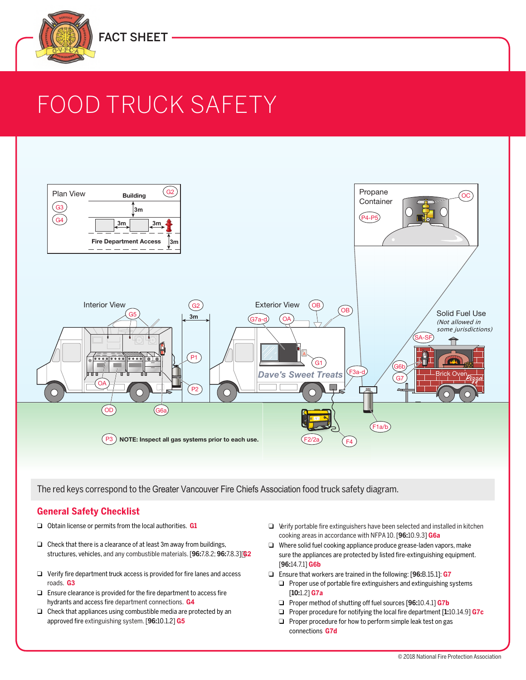

# FOOD TRUCK SAFETY



The red keys correspond to the Greater Vancouver Fire Chiefs Association food truck safety diagram.

#### **General Safety Checklist**

- ❑ Obtain license or permits from the local authorities. **G1**
- ❑ Check that there is a clearance of at least 3m away from buildings, structures, vehicles, and any combustible materials. [**96:**7.8.2; **96:**7.8.3] **G2**
- ❑ Verify fire department truck access is provided for fire lanes and access roads. **G3**
- ❑ Ensure clearance is provided for the fire department to access fire hydrants and access fire department connections. **G4**
- ❑ Check that appliances using combustible media are protected by an approved fire extinguishing system. [**96:**10.1.2] **G5**
- ❑ Verify portable fire extinguishers have been selected and installed in kitchen cooking areas in accordance with NFPA 10. [**96:**10.9.3] **G6a**
- ❑ Where solid fuel cooking appliance produce grease-laden vapors, make sure the appliances are protected by listed fire-extinguishing equipment. [**96:**14.7.1] **G6b**
- ❑ Ensure that workers are trained in the following: [**96:**B.15.1]: **G7**
	- ❑ Proper use of portable fire extinguishers and extinguishing systems [**10:**1.2] **G7a**
	- ❑ Proper method of shutting off fuel sources [**96:**10.4.1] **G7b**
	- ❑ Proper procedure for notifying the local fire department [**1:**10.14.9] **G7c**
	- ❑ Proper procedure for how to perform simple leak test on gas connections **G7d**